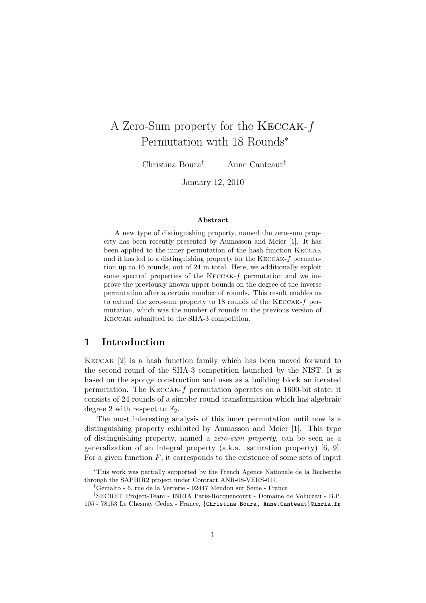# A Zero-Sum property for the Keccak-f Permutation with 18 Rounds<sup>∗</sup>

Christina Boura† Anne Canteaut‡

January 12, 2010

#### Abstract

A new type of distinguishing property, named the zero-sum property has been recently presented by Aumasson and Meier [1]. It has been applied to the inner permutation of the hash function Keccak and it has led to a distinguishing property for the Keccak-f permutation up to 16 rounds, out of 24 in total. Here, we additionally exploit some spectral properties of the KECCAK-f permutation and we improve the previously known upper bounds on the degree of the inverse permutation after a certain number of rounds. This result enables us to extend the zero-sum property to 18 rounds of the Keccak-f permutation, which was the number of rounds in the previous version of Keccak submitted to the SHA-3 competition.

# 1 Introduction

Keccak [2] is a hash function family which has been moved forward to the second round of the SHA-3 competition launched by the NIST. It is based on the sponge construction and uses as a building block an iterated permutation. The Keccak-f permutation operates on a 1600-bit state; it consists of 24 rounds of a simpler round transformation which has algebraic degree 2 with respect to  $\mathbb{F}_2$ .

The most interesting analysis of this inner permutation until now is a distinguishing property exhibited by Aumasson and Meier [1]. This type of distinguishing property, named a zero-sum property, can be seen as a generalization of an integral property (a.k.a. saturation property) [6, 9]. For a given function  $F$ , it corresponds to the existence of some sets of input

<sup>∗</sup>This work was partially supported by the French Agence Nationale de la Recherche through the SAPHIR2 project under Contract ANR-08-VERS-014.

<sup>†</sup>Gemalto - 6, rue de la Verrerie - 92447 Meudon sur Seine - France

<sup>‡</sup>SECRET Project-Team - INRIA Paris-Rocquencourt - Domaine de Voluceau - B.P. 105 - 78153 Le Chesnay Cedex - France, {Christina.Boura, Anne.Canteaut}@inria.fr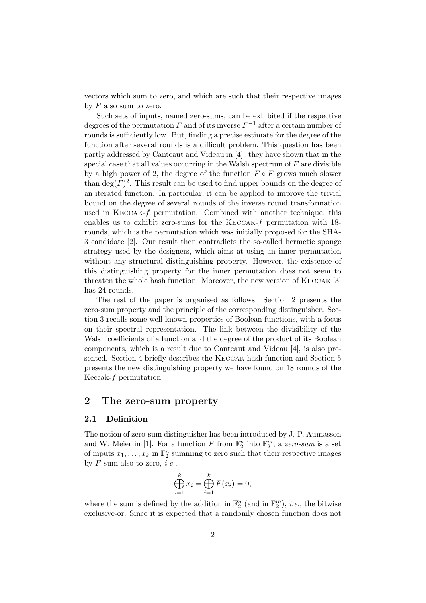vectors which sum to zero, and which are such that their respective images by  $F$  also sum to zero.

Such sets of inputs, named zero-sums, can be exhibited if the respective degrees of the permutation F and of its inverse  $F^{-1}$  after a certain number of rounds is sufficiently low. But, finding a precise estimate for the degree of the function after several rounds is a difficult problem. This question has been partly addressed by Canteaut and Videau in [4]: they have shown that in the special case that all values occurring in the Walsh spectrum of  $F$  are divisible by a high power of 2, the degree of the function  $F \circ F$  grows much slower than  $deg(F)^2$ . This result can be used to find upper bounds on the degree of an iterated function. In particular, it can be applied to improve the trivial bound on the degree of several rounds of the inverse round transformation used in KECCAK- $f$  permutation. Combined with another technique, this enables us to exhibit zero-sums for the KECCAK-f permutation with 18rounds, which is the permutation which was initially proposed for the SHA-3 candidate [2]. Our result then contradicts the so-called hermetic sponge strategy used by the designers, which aims at using an inner permutation without any structural distinguishing property. However, the existence of this distinguishing property for the inner permutation does not seem to threaten the whole hash function. Moreover, the new version of Keccak [3] has 24 rounds.

The rest of the paper is organised as follows. Section 2 presents the zero-sum property and the principle of the corresponding distinguisher. Section 3 recalls some well-known properties of Boolean functions, with a focus on their spectral representation. The link between the divisibility of the Walsh coefficients of a function and the degree of the product of its Boolean components, which is a result due to Canteaut and Videau [4], is also presented. Section 4 briefly describes the Keccak hash function and Section 5 presents the new distinguishing property we have found on 18 rounds of the Keccak-f permutation.

# 2 The zero-sum property

### 2.1 Definition

The notion of zero-sum distinguisher has been introduced by J.-P. Aumasson and W. Meier in [1]. For a function F from  $\mathbb{F}_2^n$  into  $\mathbb{F}_2^m$ , a zero-sum is a set of inputs  $x_1, \ldots, x_k$  in  $\mathbb{F}_2^n$  summing to zero such that their respective images by  $F$  sum also to zero, *i.e.*,

$$
\bigoplus_{i=1}^k x_i = \bigoplus_{i=1}^k F(x_i) = 0,
$$

where the sum is defined by the addition in  $\mathbb{F}_2^n$  (and in  $\mathbb{F}_2^m$ ), *i.e.*, the bitwise exclusive-or. Since it is expected that a randomly chosen function does not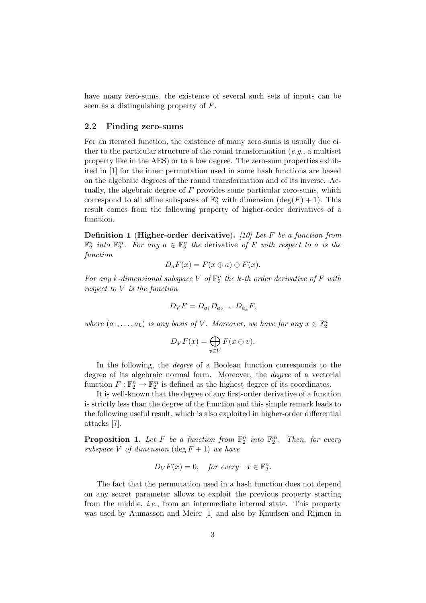have many zero-sums, the existence of several such sets of inputs can be seen as a distinguishing property of F.

#### 2.2 Finding zero-sums

For an iterated function, the existence of many zero-sums is usually due either to the particular structure of the round transformation  $(e.g.,$  a multiset property like in the AES) or to a low degree. The zero-sum properties exhibited in [1] for the inner permutation used in some hash functions are based on the algebraic degrees of the round transformation and of its inverse. Actually, the algebraic degree of  $F$  provides some particular zero-sums, which correspond to all affine subspaces of  $\mathbb{F}_2^n$  with dimension  $(\deg(F) + 1)$ . This result comes from the following property of higher-order derivatives of a function.

**Definition 1** (Higher-order derivative). [10] Let F be a function from  $\mathbb{F}_2^n$  into  $\mathbb{F}_2^m$ . For any  $a \in \mathbb{F}_2^n$  the derivative of F with respect to a is the function

$$
D_a F(x) = F(x \oplus a) \oplus F(x).
$$

For any k-dimensional subspace V of  $\mathbb{F}_2^n$  the k-th order derivative of F with respect to V is the function

$$
D_VF = D_{a_1}D_{a_2}\dots D_{a_k}F,
$$

where  $(a_1, \ldots, a_k)$  is any basis of V. Moreover, we have for any  $x \in \mathbb{F}_2^n$ 

$$
D_V F(x) = \bigoplus_{v \in V} F(x \oplus v).
$$

In the following, the *degree* of a Boolean function corresponds to the degree of its algebraic normal form. Moreover, the degree of a vectorial function  $F: \mathbb{F}_2^n \to \mathbb{F}_2^m$  is defined as the highest degree of its coordinates.

It is well-known that the degree of any first-order derivative of a function is strictly less than the degree of the function and this simple remark leads to the following useful result, which is also exploited in higher-order differential attacks [7].

**Proposition 1.** Let F be a function from  $\mathbb{F}_2^n$  into  $\mathbb{F}_2^m$ . Then, for every subspace V of dimension  $(\deg F + 1)$  we have

$$
D_V F(x) = 0, \quad \text{for every} \quad x \in \mathbb{F}_2^n.
$$

The fact that the permutation used in a hash function does not depend on any secret parameter allows to exploit the previous property starting from the middle, i.e., from an intermediate internal state. This property was used by Aumasson and Meier [1] and also by Knudsen and Rijmen in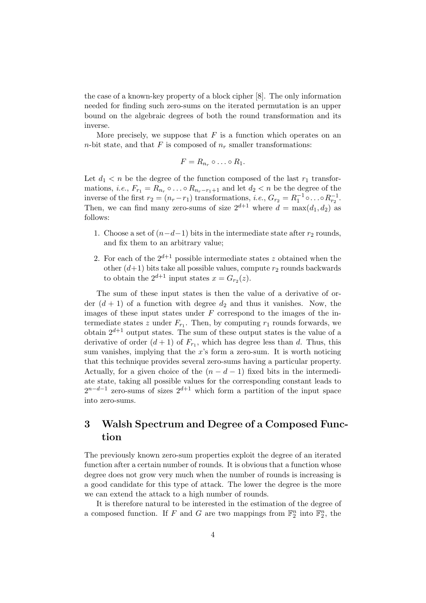the case of a known-key property of a block cipher [8]. The only information needed for finding such zero-sums on the iterated permutation is an upper bound on the algebraic degrees of both the round transformation and its inverse.

More precisely, we suppose that  $F$  is a function which operates on an *n*-bit state, and that F is composed of  $n_r$  smaller transformations:

$$
F=R_{n_r}\circ\ldots\circ R_1.
$$

Let  $d_1 < n$  be the degree of the function composed of the last  $r_1$  transformations, *i.e.*,  $F_{r_1} = \overline{R}_{n_r} \circ \dots \circ R_{n_r-r_1+1}$  and let  $d_2 < n$  be the degree of the inverse of the first  $r_2 = (n_r - r_1)$  transformations, *i.e.*,  $G_{r_2} = R_1^{-1} \circ \dots \circ R_{r_2}^{-1}$ . Then, we can find many zero-sums of size  $2^{d+1}$  where  $d = \max(d_1, d_2)$  as follows:

- 1. Choose a set of  $(n-d-1)$  bits in the intermediate state after  $r_2$  rounds, and fix them to an arbitrary value;
- 2. For each of the  $2^{d+1}$  possible intermediate states z obtained when the other  $(d+1)$  bits take all possible values, compute  $r_2$  rounds backwards to obtain the  $2^{d+1}$  input states  $x = G_{r_2}(z)$ .

The sum of these input states is then the value of a derivative of order  $(d + 1)$  of a function with degree  $d_2$  and thus it vanishes. Now, the images of these input states under  $F$  correspond to the images of the intermediate states z under  $F_{r_1}$ . Then, by computing  $r_1$  rounds forwards, we obtain  $2^{d+1}$  output states. The sum of these output states is the value of a derivative of order  $(d+1)$  of  $F_{r_1}$ , which has degree less than d. Thus, this sum vanishes, implying that the  $x$ 's form a zero-sum. It is worth noticing that this technique provides several zero-sums having a particular property. Actually, for a given choice of the  $(n - d - 1)$  fixed bits in the intermediate state, taking all possible values for the corresponding constant leads to  $2^{n-d-1}$  zero-sums of sizes  $2^{d+1}$  which form a partition of the input space into zero-sums.

# 3 Walsh Spectrum and Degree of a Composed Function

The previously known zero-sum properties exploit the degree of an iterated function after a certain number of rounds. It is obvious that a function whose degree does not grow very much when the number of rounds is increasing is a good candidate for this type of attack. The lower the degree is the more we can extend the attack to a high number of rounds.

It is therefore natural to be interested in the estimation of the degree of a composed function. If F and G are two mappings from  $\mathbb{F}_2^n$  into  $\mathbb{F}_2^n$ , the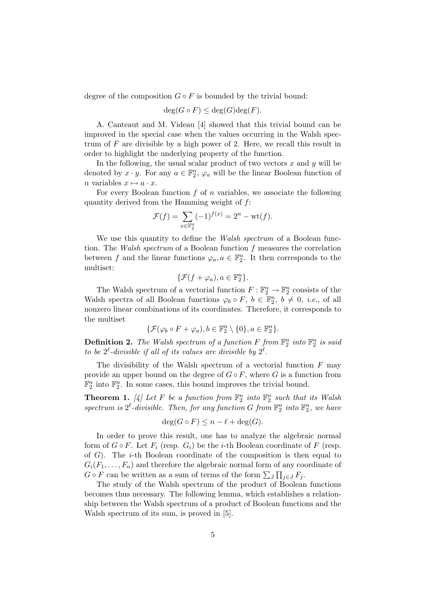degree of the composition  $G \circ F$  is bounded by the trivial bound:

$$
\deg(G \circ F) \le \deg(G) \deg(F).
$$

A. Canteaut and M. Videau [4] showed that this trivial bound can be improved in the special case when the values occurring in the Walsh spectrum of  $F$  are divisible by a high power of 2. Here, we recall this result in order to highlight the underlying property of the function.

In the following, the usual scalar product of two vectors  $x$  and  $y$  will be denoted by  $x \cdot y$ . For any  $a \in \mathbb{F}_2^n$ ,  $\varphi_a$  will be the linear Boolean function of n variables  $x \mapsto a \cdot x$ .

For every Boolean function  $f$  of  $n$  variables, we associate the following quantity derived from the Hamming weight of f:

$$
\mathcal{F}(f) = \sum_{x \in \mathbb{F}_2^n} (-1)^{f(x)} = 2^n - \text{wt}(f).
$$

We use this quantity to define the *Walsh spectrum* of a Boolean function. The Walsh spectrum of a Boolean function f measures the correlation between f and the linear functions  $\varphi_a, a \in \mathbb{F}_2^n$ . It then corresponds to the multiset:

$$
\{\mathcal{F}(f+\varphi_a), a \in \mathbb{F}_2^n\}.
$$

The Walsh spectrum of a vectorial function  $F: \mathbb{F}_2^n \to \mathbb{F}_2^n$  consists of the Walsh spectra of all Boolean functions  $\varphi_b \circ F$ ,  $b \in \mathbb{F}_2^n$ ,  $b \neq 0$ , *i.e.*, of all nonzero linear combinations of its coordinates. Therefore, it corresponds to the multiset

$$
\{\mathcal{F}(\varphi_b \circ F + \varphi_a), b \in \mathbb{F}_2^n \setminus \{0\}, a \in \mathbb{F}_2^n\}.
$$

**Definition 2.** The Walsh spectrum of a function F from  $\mathbb{F}_2^n$  into  $\mathbb{F}_2^n$  is said to be  $2^{\ell}$ -divisible if all of its values are divisible by  $2^{\ell}$ .

The divisibility of the Walsh spectrum of a vectorial function  $F$  may provide an upper bound on the degree of  $G \circ F$ , where G is a function from  $\mathbb{F}_2^n$  into  $\mathbb{F}_2^n$ . In some cases, this bound improves the trivial bound.

**Theorem 1.** [4] Let F be a function from  $\mathbb{F}_2^n$  into  $\mathbb{F}_2^n$  such that its Walsh spectrum is  $2^{\ell}$ -divisible. Then, for any function G from  $\mathbb{F}_2^n$  into  $\mathbb{F}_2^n$ , we have

$$
\deg(G \circ F) \le n - \ell + \deg(G).
$$

In order to prove this result, one has to analyze the algebraic normal form of  $G \circ F$ . Let  $F_i$  (resp.  $G_i$ ) be the *i*-th Boolean coordinate of F (resp. of  $G$ ). The *i*-th Boolean coordinate of the composition is then equal to  $G_i(F_1, \ldots, F_n)$  and therefore the algebraic normal form of any coordinate of  $G \circ F$  can be written as a sum of terms of the form  $\sum_{J} \prod_{j \in J} F_j$ .

The study of the Walsh spectrum of the product of Boolean functions becomes thus necessary. The following lemma, which establishes a relationship between the Walsh spectrum of a product of Boolean functions and the Walsh spectrum of its sum, is proved in [5].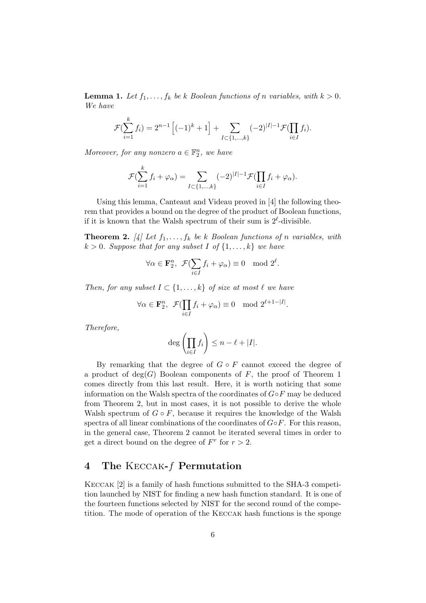**Lemma 1.** Let  $f_1, \ldots, f_k$  be k Boolean functions of n variables, with  $k > 0$ . We have

$$
\mathcal{F}(\sum_{i=1}^k f_i) = 2^{n-1} \left[ (-1)^k + 1 \right] + \sum_{I \subset \{1,\dots,k\}} (-2)^{|I|-1} \mathcal{F}(\prod_{i \in I} f_i).
$$

Moreover, for any nonzero  $a \in \mathbb{F}_2^n$ , we have

$$
\mathcal{F}(\sum_{i=1}^k f_i + \varphi_\alpha) = \sum_{I \subset \{1,\dots,k\}} (-2)^{|I|-1} \mathcal{F}(\prod_{i \in I} f_i + \varphi_\alpha).
$$

Using this lemma, Canteaut and Videau proved in [4] the following theorem that provides a bound on the degree of the product of Boolean functions, if it is known that the Walsh spectrum of their sum is  $2^{\ell}$ -divisible.

**Theorem 2.** [4] Let  $f_1, \ldots, f_k$  be k Boolean functions of n variables, with  $k > 0$ . Suppose that for any subset I of  $\{1, \ldots, k\}$  we have

$$
\forall \alpha \in \mathbf{F}_2^n, \ \mathcal{F}(\sum_{i \in I} f_i + \varphi_\alpha) \equiv 0 \mod 2^\ell.
$$

Then, for any subset  $I \subset \{1, \ldots, k\}$  of size at most  $\ell$  we have

$$
\forall \alpha \in \mathbf{F}_2^n, \ \mathcal{F}(\prod_{i \in I} f_i + \varphi_\alpha) \equiv 0 \mod 2^{\ell+1-|I|}.
$$

Therefore,

$$
\deg\left(\prod_{i\in I}f_i\right)\leq n-\ell+|I|.
$$

By remarking that the degree of  $G \circ F$  cannot exceed the degree of a product of  $deg(G)$  Boolean components of F, the proof of Theorem 1 comes directly from this last result. Here, it is worth noticing that some information on the Walsh spectra of the coordinates of  $G \circ F$  may be deduced from Theorem 2, but in most cases, it is not possible to derive the whole Walsh spectrum of  $G \circ F$ , because it requires the knowledge of the Walsh spectra of all linear combinations of the coordinates of  $G \circ F$ . For this reason, in the general case, Theorem 2 cannot be iterated several times in order to get a direct bound on the degree of  $F^r$  for  $r > 2$ .

# 4 The Keccak-f Permutation

Keccak [2] is a family of hash functions submitted to the SHA-3 competition launched by NIST for finding a new hash function standard. It is one of the fourteen functions selected by NIST for the second round of the competition. The mode of operation of the Keccak hash functions is the sponge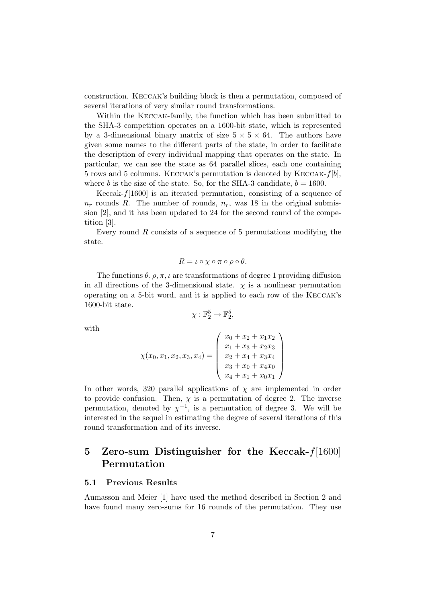construction. Keccak's building block is then a permutation, composed of several iterations of very similar round transformations.

Within the Keccak-family, the function which has been submitted to the SHA-3 competition operates on a 1600-bit state, which is represented by a 3-dimensional binary matrix of size  $5 \times 5 \times 64$ . The authors have given some names to the different parts of the state, in order to facilitate the description of every individual mapping that operates on the state. In particular, we can see the state as 64 parallel slices, each one containing 5 rows and 5 columns. KECCAK's permutation is denoted by KECCAK- $f[b]$ , where b is the size of the state. So, for the SHA-3 candidate,  $b = 1600$ .

Keccak- $f[1600]$  is an iterated permutation, consisting of a sequence of  $n_r$  rounds R. The number of rounds,  $n_r$ , was 18 in the original submission [2], and it has been updated to 24 for the second round of the competition [3].

Every round  $R$  consists of a sequence of 5 permutations modifying the state.

$$
R = \iota \circ \chi \circ \pi \circ \rho \circ \theta.
$$

The functions  $\theta$ ,  $\rho$ ,  $\pi$ ,  $\iota$  are transformations of degree 1 providing diffusion in all directions of the 3-dimensional state.  $\chi$  is a nonlinear permutation operating on a 5-bit word, and it is applied to each row of the Keccak's 1600-bit state.

$$
\chi: \mathbb{F}_2^5 \to \mathbb{F}_2^5
$$

,

with

$$
\chi(x_0, x_1, x_2, x_3, x_4) = \begin{pmatrix} x_0 + x_2 + x_1 x_2 \\ x_1 + x_3 + x_2 x_3 \\ x_2 + x_4 + x_3 x_4 \\ x_3 + x_0 + x_4 x_0 \\ x_4 + x_1 + x_0 x_1 \end{pmatrix}
$$

In other words, 320 parallel applications of  $\chi$  are implemented in order to provide confusion. Then,  $\chi$  is a permutation of degree 2. The inverse permutation, denoted by  $\chi^{-1}$ , is a permutation of degree 3. We will be interested in the sequel in estimating the degree of several iterations of this round transformation and of its inverse.

# 5 Zero-sum Distinguisher for the Keccak-f[1600] Permutation

### 5.1 Previous Results

Aumasson and Meier [1] have used the method described in Section 2 and have found many zero-sums for 16 rounds of the permutation. They use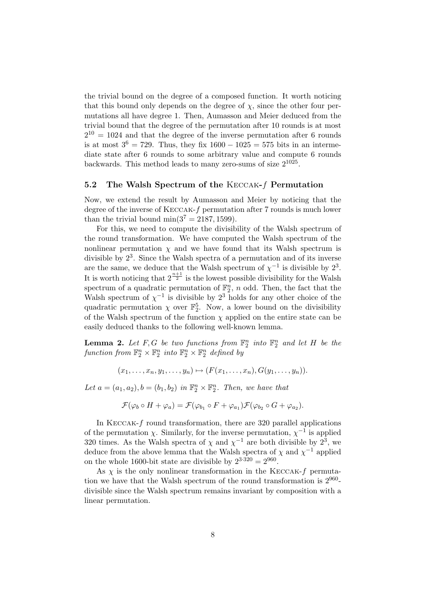the trivial bound on the degree of a composed function. It worth noticing that this bound only depends on the degree of  $\chi$ , since the other four permutations all have degree 1. Then, Aumasson and Meier deduced from the trivial bound that the degree of the permutation after 10 rounds is at most  $2^{10} = 1024$  and that the degree of the inverse permutation after 6 rounds is at most  $3^6 = 729$ . Thus, they fix  $1600 - 1025 = 575$  bits in an intermediate state after 6 rounds to some arbitrary value and compute 6 rounds backwards. This method leads to many zero-sums of size  $2^{1025}$ .

### 5.2 The Walsh Spectrum of the Keccak-f Permutation

Now, we extend the result by Aumasson and Meier by noticing that the degree of the inverse of Keccak-f permutation after 7 rounds is much lower than the trivial bound min $(3^7 = 2187, 1599)$ .

For this, we need to compute the divisibility of the Walsh spectrum of the round transformation. We have computed the Walsh spectrum of the nonlinear permutation  $\chi$  and we have found that its Walsh spectrum is divisible by  $2<sup>3</sup>$ . Since the Walsh spectra of a permutation and of its inverse are the same, we deduce that the Walsh spectrum of  $\chi^{-1}$  is divisible by  $2^3$ . It is worth noticing that  $2^{\frac{n+1}{2}}$  is the lowest possible divisibility for the Walsh spectrum of a quadratic permutation of  $\mathbb{F}_2^n$ , n odd. Then, the fact that the Walsh spectrum of  $\chi^{-1}$  is divisible by  $2^3$  holds for any other choice of the quadratic permutation  $\chi$  over  $\mathbb{F}_2^5$ . Now, a lower bound on the divisibility of the Walsh spectrum of the function  $\chi$  applied on the entire state can be easily deduced thanks to the following well-known lemma.

**Lemma 2.** Let F, G be two functions from  $\mathbb{F}_2^n$  into  $\mathbb{F}_2^n$  and let H be the function from  $\mathbb{F}_2^n \times \mathbb{F}_2^n$  into  $\mathbb{F}_2^n \times \mathbb{F}_2^n$  defined by

$$
(x_1,\ldots,x_n,y_1,\ldots,y_n)\mapsto (F(x_1,\ldots,x_n),G(y_1,\ldots,y_n)).
$$

Let  $a = (a_1, a_2), b = (b_1, b_2)$  in  $\mathbb{F}_2^n \times \mathbb{F}_2^n$ . Then, we have that

$$
\mathcal{F}(\varphi_b \circ H + \varphi_a) = \mathcal{F}(\varphi_{b_1} \circ F + \varphi_{a_1}) \mathcal{F}(\varphi_{b_2} \circ G + \varphi_{a_2}).
$$

In KECCAK- $f$  round transformation, there are 320 parallel applications of the permutation  $\chi$ . Similarly, for the inverse permutation,  $\chi^{-1}$  is applied 320 times. As the Walsh spectra of  $\chi$  and  $\chi^{-1}$  are both divisible by  $2^3$ , we deduce from the above lemma that the Walsh spectra of  $\chi$  and  $\chi^{-1}$  applied on the whole 1600-bit state are divisible by  $2^{3\cdot320} = 2^{960}$ .

As  $\chi$  is the only nonlinear transformation in the KECCAK-f permutation we have that the Walsh spectrum of the round transformation is  $2^{960}$ divisible since the Walsh spectrum remains invariant by composition with a linear permutation.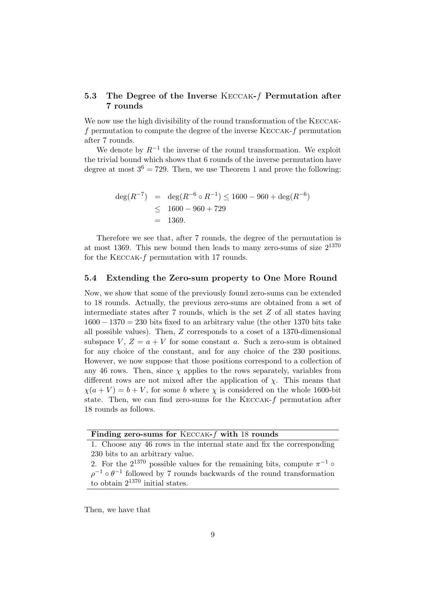### 5.3 The Degree of the Inverse Keccak-f Permutation after 7 rounds

We now use the high divisibility of the round transformation of the KECCAKf permutation to compute the degree of the inverse Keccak-f permutation after 7 rounds.

We denote by  $R^{-1}$  the inverse of the round transformation. We exploit the trivial bound which shows that 6 rounds of the inverse permutation have degree at most  $3^6 = 729$ . Then, we use Theorem 1 and prove the following:

$$
deg(R^{-7}) = deg(R^{-6} \circ R^{-1}) \le 1600 - 960 + deg(R^{-6})
$$
  
 
$$
\le 1600 - 960 + 729
$$
  
= 1369.

Therefore we see that, after 7 rounds, the degree of the permutation is at most 1369. This new bound then leads to many zero-sums of size  $2^{1370}$ for the Keccak-f permutation with 17 rounds.

### 5.4 Extending the Zero-sum property to One More Round

Now, we show that some of the previously found zero-sums can be extended to 18 rounds. Actually, the previous zero-sums are obtained from a set of intermediate states after 7 rounds, which is the set  $Z$  of all states having  $1600 - 1370 = 230$  bits fixed to an arbitrary value (the other 1370 bits take all possible values). Then, Z corresponds to a coset of a 1370-dimensional subspace V,  $Z = a + V$  for some constant a. Such a zero-sum is obtained for any choice of the constant, and for any choice of the 230 positions. However, we now suppose that those positions correspond to a collection of any 46 rows. Then, since  $\chi$  applies to the rows separately, variables from different rows are not mixed after the application of  $\chi$ . This means that  $\chi(a+V) = b + V$ , for some b where  $\chi$  is considered on the whole 1600-bit state. Then, we can find zero-sums for the  $KECCAK-f$  permutation after 18 rounds as follows.

### Finding zero-sums for Keccak-f with 18 rounds

1. Choose any 46 rows in the internal state and fix the corresponding 230 bits to an arbitrary value.

2. For the  $2^{1370}$  possible values for the remaining bits, compute  $\pi^{-1}$   $\circ$  $\rho^{-1} \circ \theta^{-1}$  followed by 7 rounds backwards of the round transformation to obtain 2<sup>1370</sup> initial states.

Then, we have that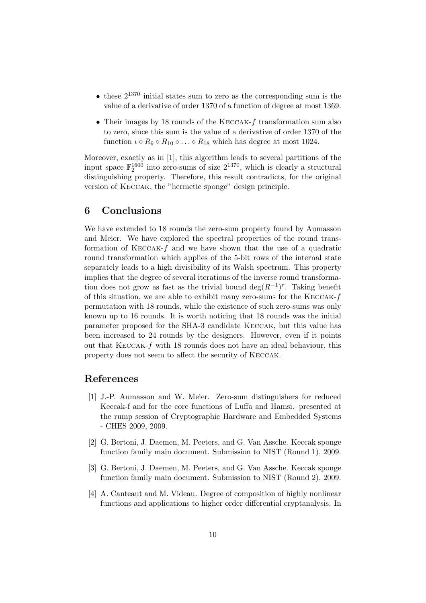- these  $2^{1370}$  initial states sum to zero as the corresponding sum is the value of a derivative of order 1370 of a function of degree at most 1369.
- Their images by 18 rounds of the KECCAK-f transformation sum also to zero, since this sum is the value of a derivative of order 1370 of the function  $\iota \circ R_9 \circ R_{10} \circ \ldots \circ R_{18}$  which has degree at most 1024.

Moreover, exactly as in [1], this algorithm leads to several partitions of the input space  $\mathbb{F}_2^{1600}$  into zero-sums of size  $2^{1370}$ , which is clearly a structural distinguishing property. Therefore, this result contradicts, for the original version of Keccak, the "hermetic sponge" design principle.

## 6 Conclusions

We have extended to 18 rounds the zero-sum property found by Aumasson and Meier. We have explored the spectral properties of the round transformation of  $KECCAK-f$  and we have shown that the use of a quadratic round transformation which applies of the 5-bit rows of the internal state separately leads to a high divisibility of its Walsh spectrum. This property implies that the degree of several iterations of the inverse round transformation does not grow as fast as the trivial bound  $\deg(R^{-1})^r$ . Taking benefit of this situation, we are able to exhibit many zero-sums for the Keccak-f permutation with 18 rounds, while the existence of such zero-sums was only known up to 16 rounds. It is worth noticing that 18 rounds was the initial parameter proposed for the SHA-3 candidate Keccak, but this value has been increased to 24 rounds by the designers. However, even if it points out that Keccak-f with 18 rounds does not have an ideal behaviour, this property does not seem to affect the security of Keccak.

### References

- [1] J.-P. Aumasson and W. Meier. Zero-sum distinguishers for reduced Keccak-f and for the core functions of Luffa and Hamsi. presented at the rump session of Cryptographic Hardware and Embedded Systems - CHES 2009, 2009.
- [2] G. Bertoni, J. Daemen, M. Peeters, and G. Van Assche. Keccak sponge function family main document. Submission to NIST (Round 1), 2009.
- [3] G. Bertoni, J. Daemen, M. Peeters, and G. Van Assche. Keccak sponge function family main document. Submission to NIST (Round 2), 2009.
- [4] A. Canteaut and M. Videau. Degree of composition of highly nonlinear functions and applications to higher order differential cryptanalysis. In